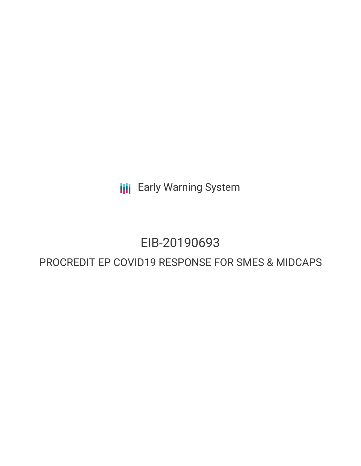**III** Early Warning System

# EIB-20190693

# PROCREDIT EP COVID19 RESPONSE FOR SMES & MIDCAPS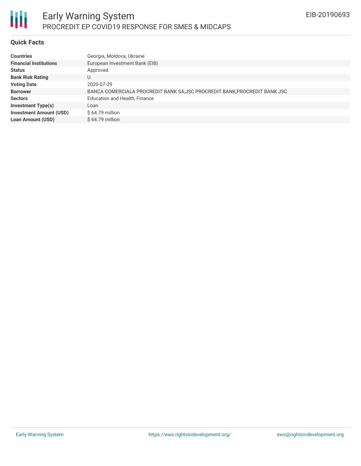

## **Quick Facts**

| <b>Countries</b>               | Georgia, Moldova, Ukraine                                                  |
|--------------------------------|----------------------------------------------------------------------------|
| <b>Financial Institutions</b>  | European Investment Bank (EIB)                                             |
| <b>Status</b>                  | Approved                                                                   |
| <b>Bank Risk Rating</b>        | U                                                                          |
| <b>Voting Date</b>             | 2020-07-29                                                                 |
| <b>Borrower</b>                | BANCA COMERCIALA PROCREDIT BANK SA, JSC PROCREDIT BANK, PROCREDIT BANK JSC |
| <b>Sectors</b>                 | Education and Health, Finance                                              |
| <b>Investment Type(s)</b>      | Loan                                                                       |
| <b>Investment Amount (USD)</b> | $$64.79$ million                                                           |
| <b>Loan Amount (USD)</b>       | $$64.79$ million                                                           |
|                                |                                                                            |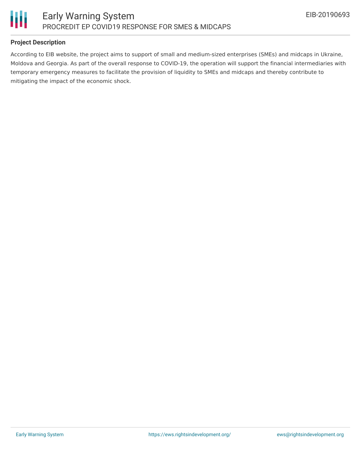

# **Project Description**

According to EIB website, the project aims to support of small and medium-sized enterprises (SMEs) and midcaps in Ukraine, Moldova and Georgia. As part of the overall response to COVID-19, the operation will support the financial intermediaries with temporary emergency measures to facilitate the provision of liquidity to SMEs and midcaps and thereby contribute to mitigating the impact of the economic shock.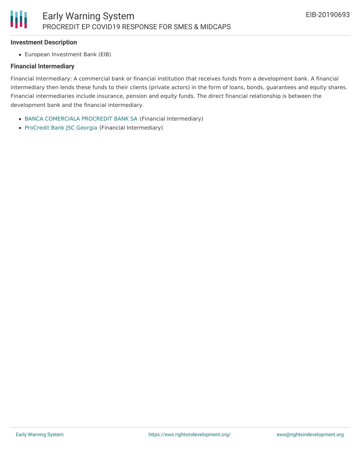#### **Investment Description**

European Investment Bank (EIB)

## **Financial Intermediary**

Financial Intermediary: A commercial bank or financial institution that receives funds from a development bank. A financial intermediary then lends these funds to their clients (private actors) in the form of loans, bonds, guarantees and equity shares. Financial intermediaries include insurance, pension and equity funds. The direct financial relationship is between the development bank and the financial intermediary.

- BANCA [COMERCIALA](file:///actor/3308/) PROCREDIT BANK SA (Financial Intermediary)
- [ProCredit](file:///actor/660/) Bank JSC Georgia (Financial Intermediary)